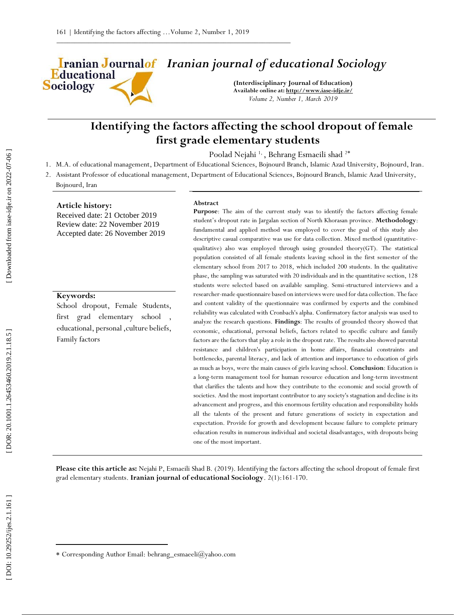# *Iranian journal of educational Sociology*

**(Interdisciplinary Journal of Education) Available online at[: http://www.iase](http://www.iase-idje.ir/) -idje.ir/** *Volume 2, Number 1, March 2019*

## **Identifying the factors affecting the school dropout of female first grad e elementary students**

Poolad Nejahi<sup>1,</sup>, Behrang Esmaeili shad<sup>2\*</sup>

- 1. M.A. of educational management, Department of Educational Sciences, Bojnourd Branch, Islamic Azad University, Bojnourd, Iran.
- 2. Assistant Professor of educational management, Department of Educational Sciences, Bojnourd Branch, Islamic Azad University, Bojnourd, Iran

#### **Article history:**

**Educational** 

**Sociology** 

Received date: 21 October 2019 Review date: 22 November 2019 Accepted date: 26 November 2019

#### **Keywords:**

School dropout, Female Students, first grad elementary school , educational, personal ,culture beliefs, Family factors

#### **Abstract**

**Purpose**: The aim of the current study was to identify the factors affecting female student's dropout rate in Jargalan section of North Khorasan province. **Methodology**: fundamental and applied method was employed to cover the goal of this study also descriptive casual comparative was use for data collection. Mixed method (quantitative qualitative) also was employed through using grounded theory(GT). The statistical population consisted of all female students leaving school in the first semester of the elementary school from 2017 to 2018, which included 200 students. In the qualitative phase, the sampling was saturated with 20 individuals and in the quantitative section, 128 students were selected based on available sampling. Semi -structured interviews and a researcher -made questionnaire based on interviews were used for data collection. The face and content validity of the questionnaire was confirmed by experts and the combined reliability was calculated with Cronbach's alpha. Confirmatory factor analysis was used to analyze the research questions. **Findings**: The results of grounded theory showed that economic, educational, personal beliefs, factors related to specific culture and family factors are the factors that play a role in the dropout rate. The results also showed parental resistance and children's participation in home affairs, financial constraints and bottlenecks, parental literacy, and lack of attention and importance to education of girls as much as boys, were the main causes of girls leaving school. **Conclusion**: Education is a long -term management tool for human resource education and long -term investment that clarifies the talents and how they contribute to the economic and social growth of societies. And the most important contributor to any society's stagnation and decline is its advancement and progress, and this enormous fertility education and responsibility holds all the talents of the present and future generations of society in expectation and expectation. Provide for growth and development because failure to complete primary education results in numerous individual and societal disadvantages, with dropouts being one of the most important.

Please cite this article as: Nejahi P, Esmaeili Shad B. (2019). Identifying the factors affecting the school dropout of female first grad elementary students. **Iranian journal of educational Sociology**. 2 ( 1):161 -170.

 $\overline{\phantom{a}}$ 

Corresponding Author Email: behrang\_esmaeeli@yahoo.com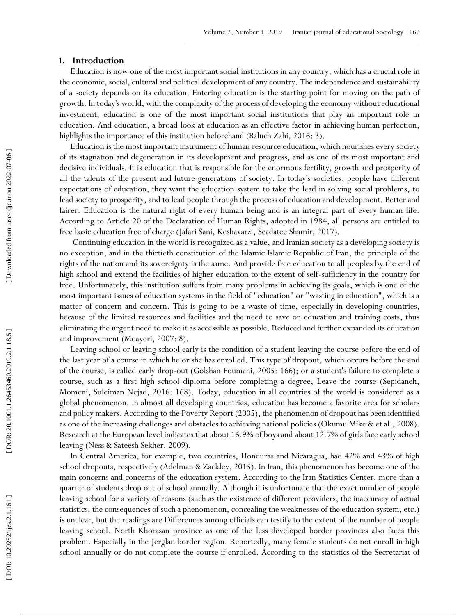### **1 . Introduction**

Education is now one of the most important social institutions in any country, which has a crucial role in the economic, social, cultural and political development of any country. The independence and sustainability of a society depends on its education. Entering education is the starting point for moving on the path of growth. In today's world, with the complexity of the process of developing the economy without educational investment, education is one of the most important social institutions that play an important role in education. And education, a broad look at education as an effective factor in achieving human perfection, highlights the importance of this institution beforehand (Baluch Zahi, 2016: 3).

Education is the most important instrument of human resource education, which nourishes every society of its stagnation and degeneration in its development and progress, and as one of its most important and decisive individuals. It is education that is responsible for the enormous fertility, growth and prosperity of all the talents of the present and future generations of society. In today's societies, people have different expectations of education, they want the education system to take the lead in solving social problems, to lead society to prosperity, and to lead people through the process of education and development. Better and fairer. Education is the natural right of every human being and is an integral part of every human life. According to Article 20 of the Declaration of Human Rights, adopted in 1984, all persons are entitled to free basic education free of charge (Jafari Sani, Keshavarzi, Seadatee Shamir, 2017).

Continuing education in the world is recognized as a value, and Iranian society as a developing society is no exception, and in the thirtieth constitution of the Islamic Islamic Republic of Iran, the principle of the rights of the nation and its sovereignty is the same. And provide free education to all peoples by the end of high school and extend the facilities of higher education to the extent of self -sufficiency in the country for free. Unfortunately, this institution suffers from many problems in achieving its goals, which is one of the most important issues of education systems in the field of "education" or "wasting in education", which is a matter of concern and concern. This is going to be a waste of time, especially in developing countries, because of the limited resources and facilities and the need to save on education and training costs, thus eliminating the urgent need to make it as accessible as possible. Reduced and further expanded its education and improvement (Moayeri, 2007: 8).

Leaving school or leaving school early is the condition of a student leaving the course before the end of the last year of a course in which he or she has enrolled. This type of dropout, which occurs before the end of the course, is called early drop -out (Golshan Foumani, 2005: 166); or a student's failure to complete a course, such as a first high school diploma before completing a degree, Leave the course (Sepidaneh, Momeni, Suleiman Nejad, 2016: 168). Today, education in all countries of the world is considered as a global phenomenon. In almost all developing countries, education has become a favorite area for scholars and policy makers. According to the Poverty Report (2005), the phenomenon of dropout has been identified as one of the increasing challenges and obstacles to achieving national policies (Okumu Mike & et al., 2008). Research at the European level indicates that about 16.9% of boys and about 12.7% of girls face early school leaving (Ness & Sateesh Sekher, 2009).

In Central America, for example, two countries, Honduras and Nicaragua, had 42% and 43% of high school dropouts, respectively (Adelman & Zackley, 2015). In Iran, this phenomenon has become one of the main concerns and concerns of the education system. According to the Iran Statistics Center, more than a quarter of students drop out of school annually. Although it is unfortunate that the exact number of people leaving school for a variety of reasons (such as the existence of different providers, the inaccuracy of actual statistics, the consequences of such a phenomenon, concealing the weaknesses of the education system, etc.) is unclear, but the readings are Differences among officials can testify to the extent of the number of people leaving school. North Khorasan province as one of the less developed border provinces also faces this problem. Especially in the Jerglan border region. Reportedly, many female students do not enroll in high school annually or do not complete the course if enrolled. According to the statistics of the Secretariat of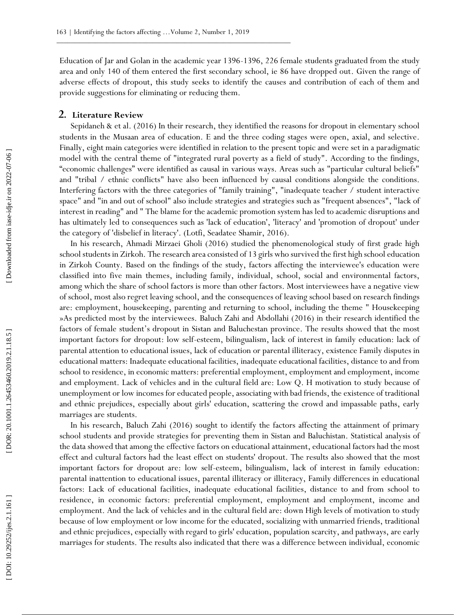Education of Jar and Golan in the academic year 1396-1396, 226 female students graduated from the study area and only 140 of them entered the first secondary school, ie 86 have dropped out. Given the range of adverse effects of dropout, this study seeks to identify the causes and contribution of each of them and provide suggestions for eliminating or reducing them.

#### **2. Literature Review**

Sepidaneh & et al. (2016) In their research, they identified the reasons for dropout in elementary school students in the Musaan area of education. E and the three coding stages were open, axial, and selective. Finally, eight main categories were identified in relation to the present topic and were set in a paradigmatic model with the central theme of "integrated rural poverty as a field of study". According to the findings, "economic challenges" were identified as causal in various ways. Areas such as "particular cultural beliefs" and "tribal / ethnic conflicts" have also been influenced by causal conditions alongside the conditions. Interfering factors with the three categories of "family training", "inadequate teacher / student interactive space" and "in and out of school" also include strategies and strategies such as "frequent absences", "lack of interest in reading" and " The blame for the academic promotion system has led to academic disruptions and has ultimately led to consequences such as 'lack of education', 'literacy' and 'promotion of dropout' under the category of 'disbelief in literacy'. (Lotfi, Seadatee Shamir, 2016).

In his research, Ahmadi Mirzaei Gholi (2016) studied the phenomenological study of first grade high school students in Zirkoh. The research area consisted of 13 girls who survived the first high school education in Zirkoh County. Based on the findings of the study, factors affecting the interviewee's education were classified into five main themes, including family, individual, school, social and environmental factors, among which the share of school factors is more than other factors. Most interviewees have a negative view of school, most also regret leaving school, and the consequences of leaving school based on research findings are: employment, housekeeping, parenting and returning to school, including the theme " Housekeeping »As predicted most by the interviewees. Baluch Zahi and Abdollahi (2016) in their research identified the factors of female student's dropout in Sistan and Baluchestan province. The results showed that the most important factors for dropout: low self -esteem, bilingualism, lack of interest in family education: lack of parental attention to educational issues, lack of education or parental illiteracy, existence Family disputes in educational matters: Inadequate educational facilities, inadequate educational facilities, distance to and from school to residence, in economic matters: preferential employment, employment and employment, income and employment. Lack of vehicles and in the cultural field are: Low Q. H motivation to study because of unemployment or low incomes for educated people, associating with bad friends, the existence of traditional and ethnic prejudices, especially about girls' education, scattering the crowd and impassable paths, early marriages are students.

In his research, Baluch Zahi (2016) sought to identify the factors affecting the attainment of primary school students and provide strategies for preventing them in Sistan and Baluchistan. Statistical analysis of the data showed that among the effective factors on educational attainment, educational factors had the most effect and cultural factors had the least effect on students' dropout. The results also showed that the most important factors for dropout are: low self -esteem, bilingualism, lack of interest in family education: parental inattention to educational issues, parental illiteracy or illiteracy, Family differences in educational factors: Lack of educational facilities, inadequate educational facilities, distance to and from school to residence, in economic factors: preferential employment, employment and employment, income and employment. And the lack of vehicles and in the cultural field are: down High levels of motivation to study because of low employment or low income for the educated, socializing with unmarried friends, traditional and ethnic prejudices, especially with regard to girls' education, population scarcity, and pathways, are early marriages for students. The results also indicated that there was a difference between individual, economic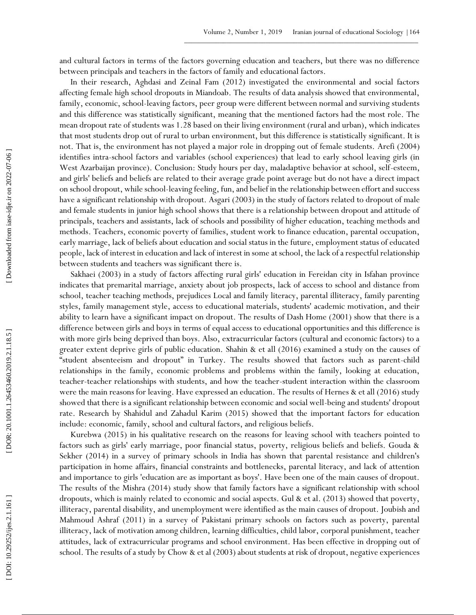and cultural factors in terms of the factors governing education and teachers, but there was no difference between principals and teachers in the factors of family and educational factors.

In their research, Aghdasi and Zeinal Fam (2012) investigated the environmental and social factors affecting female high school dropouts in Miandoab. The results of data analysis showed that environmental, family, economic, school-leaving factors, peer group were different between normal and surviving students and this difference was statistically significant, meaning that the mentioned factors had the most role. The mean dropout rate of students was 1.28 based on their living environment (rural and urban), which indicates that most students drop out of rural to urban environment, but this difference is statistically significant. It is not. That is, the environment has not played a major role in dropping out of female students. Arefi (2004) identifies intra -school factors and variables (school experiences) that lead to early school leaving girls (in West Azarbaijan province). Conclusion: Study hours per day, maladaptive behavior at school, self -esteem, and girls' beliefs and beliefs are related to their average grade point average but do not have a direct impact on school dropout, while school -leaving feeling, fun, and belief in the relationship between effort and success have a significant relationship with dropout. Asgari (2003) in the study of factors related to dropout of male and female students in junior high school shows that there is a relationship between dropout and attitude of principals, teachers and assistants, lack of schools and possibility of higher education, teaching methods and methods. Teachers, economic poverty of families, student work to finance education, parental occupation, early marriage, lack of beliefs about education and social status in the future, employment status of educated people, lack of interest in education and lack of interest in some at school, the lack of a respectful relationship between students and teachers was significant there is.

Sakhaei (2003) in a study of factors affecting rural girls' education in Fereidan city in Isfahan province indicates that premarital marriage, anxiety about job prospects, lack of access to school and distance from school, teacher teaching methods, prejudices Local and family literacy, parental illiteracy, family parenting styles, family management style, access to educational materials, students' academic motivation, and their ability to learn have a significant impact on dropout. The results of Dash Home (2001) show that there is a difference between girls and boys in terms of equal access to educational opportunities and this difference is with more girls being deprived than boys. Also, extracurricular factors (cultural and economic factors) to a greater extent deprive girls of public education. Shahin & et all (2016) examined a study on the causes of "student absenteeism and dropout" in Turkey. The results showed that factors such as parent -child relationships in the family, economic problems and problems within the family, looking at education, teacher -teacher relationships with students, and how the teacher -student interaction within the classroom were the main reasons for leaving. Have expressed an education. The results of Hernes & et all (2016) study showed that there is a significant relationship between economic and social well -being and students' dropout rate. Research by Shahidul and Zahadul Karim (2015) showed that the important factors for education include: economic, family, school and cultural factors, and religious beliefs.

Kurebwa (2015) in his qualitative research on the reasons for leaving school with teachers pointed to factors such as girls' early marriage, poor financial status, poverty, religious beliefs and beliefs. Gouda & Sekher (2014) in a survey of primary schools in India has shown that parental resistance and children's participation in home affairs, financial constraints and bottlenecks, parental literacy, and lack of attention and importance to girls 'education are as important as boys'. Have been one of the main causes of dropout. The results of the Mishra (2014) study show that family factors have a significant relationship with school dropouts, which is mainly related to economic and social aspects. Gul & et al. (2013) showed that poverty, illiteracy, parental disability, and unemployment were identified as the main causes of dropout. Joubish and Mahmoud Ashraf (2011) in a survey of Pakistani primary schools on factors such as poverty, parental illiteracy, lack of motivation among children, learning difficulties, child labor, corporal punishment, teacher attitudes, lack of extracurricular programs and school environment. Has been effective in dropping out of school. The results of a study by Chow & et al (2003) about students at risk of dropout, negative experiences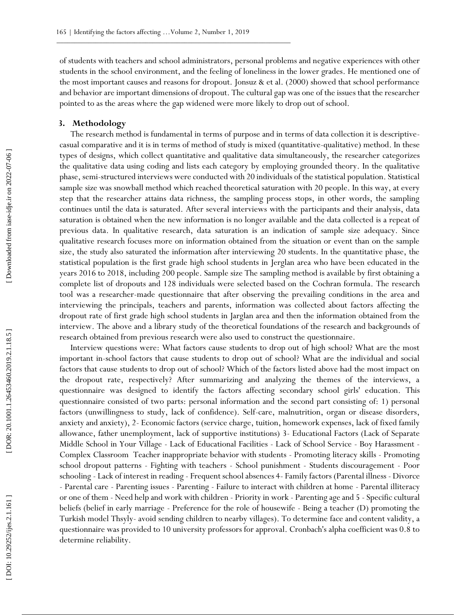of students with teachers and school administrators, personal problems and negative experiences with other students in the school environment, and the feeling of loneliness in the lower grades. He mentioned one of the most important causes and reasons for dropout. Jonsuz & et al. (2000) showed that school performance and behavior are important dimensions of dropout. The cultural gap was one of the issues that the researcher pointed to as the areas where the gap widened were more likely to drop out of school.

#### **3. Methodology**

The research method is fundamental in terms of purpose and in terms of data collection it is descriptive casual comparative and it is in terms of method of study is mixed (quantitative -qualitative) method. In these types of designs, which collect quantitative and qualitative data simultaneously, the researcher categorizes the qualitative data using coding and lists each category by employing grounded theory. In the qualitative phase, semi -structured interviews were conducted with 20 individuals of the statistical population. Statistical sample size was snowball method which reached theoretical saturation with 20 people. In this way, at every step that the researcher attains data richness, the sampling process stops, in other words, the sampling continues until the data is saturated. After several interviews with the participants and their analysis, data saturation is obtained when the new information is no longer available and the data collected is a repeat of previous data. In qualitative research, data saturation is an indication of sample size adequacy. Since qualitative research focuses more on information obtained from the situation or event than on the sample size, the study also saturated the information after interviewing 20 students. In the quantitative phase, the statistical population is the first grade high school students in Jerglan area who have been educated in the years 2016 to 2018, including 200 people. Sample size The sampling method is available by first obtaining a complete list of dropouts and 128 individuals were selected based on the Cochran formula. The research tool was a researcher -made questionnaire that after observing the prevailing conditions in the area and interviewing the principals, teachers and parents, information was collected about factors affecting the dropout rate of first grade high school students in Jarglan area and then the information obtained from the interview. The above and a library study of the theoretical foundations of the research and backgrounds of research obtained from previous research were also used to construct the questionnaire.

Interview questions were: What factors cause students to drop out of high school? What are the most important in -school factors that cause students to drop out of school? What are the individual and social factors that cause students to drop out of school? Which of the factors listed above had the most impact on the dropout rate, respectively? After summarizing and analyzing the themes of the interviews, a questionnaire was designed to identify the factors affecting secondary school girls' education. This questionnaire consisted of two parts: personal information and the second part consisting of: 1) personal factors (unwillingness to study, lack of confidence). Self -care, malnutrition, organ or disease disorders, anxiety and anxiety), 2 - Economic factors (service charge, tuition, homework expenses, lack of fixed family allowance, father unemployment, lack of supportive institutions) 3 - Educational Factors (Lack of Separate Middle School in Your Village - Lack of Educational Facilities - Lack of School Service - Boy Harassment -Complex Classroom Teacher inappropriate behavior with students - Promoting literacy skills - Promoting school dropout patterns - Fighting with teachers - School punishment - Students discouragement - Poor schooling - Lack of interest in reading - Frequent school absences 4- Family factors (Parental illness - Divorce - Parental care - Parenting issues - Parenting - Failure to interact with children at home - Parental illiteracy or one of them - Need help and work with children - Priority in work - Parenting age and 5 - Specific cultural beliefs (belief in early marriage - Preference for the role of housewife - Being a teacher (D) promoting the Turkish model Thsyly - avoid sending children to nearby villages). To determine face and content validity, a questionnaire was provided to 10 university professors for approval. Cronbach's alpha coefficient was 0.8 to determine reliability.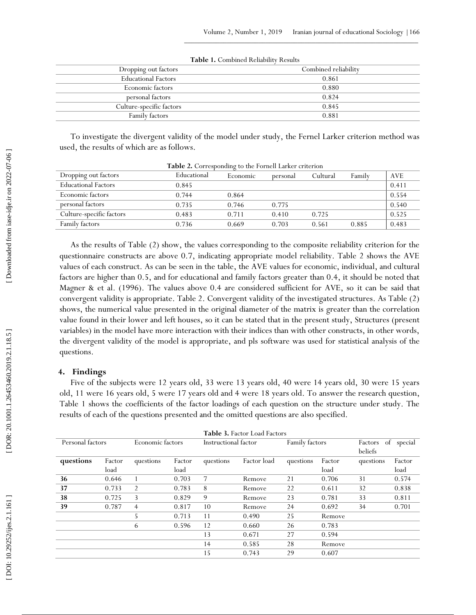| Dropping out factors       | Combined reliability |
|----------------------------|----------------------|
| <b>Educational Factors</b> | 0.861                |
| Economic factors           | 0.880                |
| personal factors           | 0.824                |
| Culture-specific factors   | 0.845                |
| Family factors             | 0.881                |
|                            |                      |

**Table 1.** Combined Reliability Results

To investigate the divergent validity of the model under study, the Fernel Larker criterion method was used, the results of which are as follows.

| Dropping out factors       | Educational | Economic | personal | Cultural | Family | <b>AVE</b> |
|----------------------------|-------------|----------|----------|----------|--------|------------|
| <b>Educational Factors</b> | 0.845       |          |          |          |        | 0.411      |
| Economic factors           | 0.744       | 0.864    |          |          |        | 0.554      |
| personal factors           | 0.735       | 0.746    | 0.775    |          |        | 0.540      |
| Culture-specific factors   | 0.483       | 0.711    | 0.410    | 0.725    |        | 0.525      |
| Family factors             | 0.736       | 0.669    | 0.703    | 0.561    | 0.885  | 0.483      |

**Table 2.** Corresponding to the Fornell Larker criterion

As the results of Table (2) show, the values corresponding to the composite reliability criterion for the questionnaire constructs are above 0.7, indicating appropriate model reliability. Table 2 shows the AVE values of each construct. As can be seen in the table, the AVE values for economic, individual, and cultural factors are higher than 0.5, and for educational and family factors greater than 0.4, it should be noted that Magner & et al. (1996). The values above 0.4 are considered sufficient for AVE, so it can be said that convergent validity is appropriate. Table 2. Convergent validity of the investigated structures. As Table (2) shows, the numerical value presented in the original diameter of the matrix is greater than the correlation value found in their lower and left houses, so it can be stated that in the present study, Structures (present variables) in the model have more interaction with their indices than with other constructs, in other words, the divergent validity of the model is appropriate, and pls software was used for statistical analysis of the questions.

#### **4. Findings**

Five of the subjects were 12 years old, 33 were 13 years old, 40 were 14 years old, 30 were 15 years old, 11 were 16 years old, 5 were 17 years old and 4 were 18 years old. To answer the research question, Table 1 shows the coefficients of the factor loadings of each question on the structure under study. The results of each of the questions presented and the omitted questions are also specified.

| <b>Table 3. Factor Load Factors</b> |        |                  |        |                      |             |                |        |                          |         |
|-------------------------------------|--------|------------------|--------|----------------------|-------------|----------------|--------|--------------------------|---------|
| Personal factors                    |        | Economic factors |        | Instructional factor |             | Family factors |        | Factors<br>of<br>beliefs | special |
| questions                           | Factor | questions        | Factor | questions            | Factor load | questions      | Factor | questions                | Factor  |
|                                     | load   |                  | load   |                      |             |                | load   |                          | load    |
| 36                                  | 0.646  |                  | 0.703  | 7                    | Remove      | 21             | 0.706  | 31                       | 0.574   |
| 37                                  | 0.733  | 2                | 0.783  | 8                    | Remove      | 22             | 0.611  | 32                       | 0.838   |
| 38                                  | 0.725  | 3                | 0.829  | 9                    | Remove      | 23             | 0.781  | 33                       | 0.811   |
| 39                                  | 0.787  | $\overline{4}$   | 0.817  | 10                   | Remove      | 24             | 0.692  | 34                       | 0.701   |
|                                     |        | 5                | 0.713  | 11                   | 0.490       | 25             | Remove |                          |         |
|                                     |        | 6                | 0.596  | 12                   | 0.660       | 26             | 0.783  |                          |         |
|                                     |        |                  |        | 13                   | 0.671       | 27             | 0.594  |                          |         |
|                                     |        |                  |        | 14                   | 0.585       | 28             | Remove |                          |         |
|                                     |        |                  |        | 15                   | 0.743       | 29             | 0.607  |                          |         |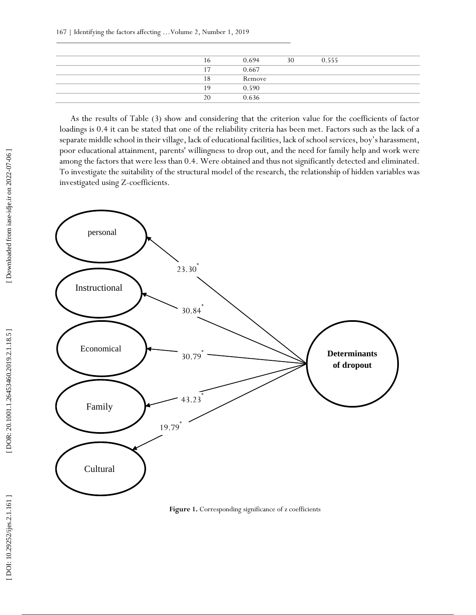| 16             | 0.694  | 30 | 0.555 |  |
|----------------|--------|----|-------|--|
| $\overline{ }$ | 0.667  |    |       |  |
| 18             | Remove |    |       |  |
| 19             | 0.590  |    |       |  |
| 20             | 0.636  |    |       |  |
|                |        |    |       |  |

As the results of Table (3) show and considering that the criterion value for the coefficients of factor loadings is 0.4 it can be stated that one of the reliability criteria has been met. Factors such as the lack of a separate middle school in their village, lack of educational facilities, lack of school services, boy's harassment, poor educational attainment, parents' willingness to drop out, and the need for family help and work were among the factors that were less than 0.4. Were obtained and thus not significantly detected and eliminated. To investigate the suitability of the structural model of the research, the relationship of hidden variables was investigated using Z -coefficients.



Figure 1. Corresponding significance of z coefficients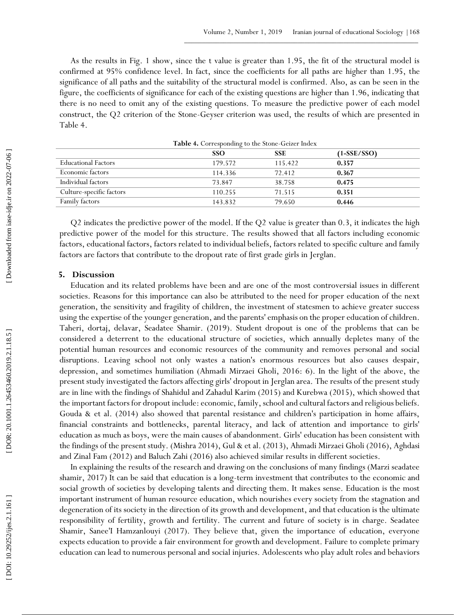As the results in Fig. 1 show, since the t value is greater than 1.95, the fit of the structural model is confirmed at 95% confidence level. In fact, since the coefficients for all paths are higher than 1.95, the significance of all paths and the suitability of the structural model is confirmed. Also, as can be seen in the figure, the coefficients of significance for each of the existing questions are higher than 1.96, indicating that there is no need to omit any of the existing questions. To measure the predictive power of each model construct, the Q2 criterion of the Stone -Geyser criterion was used, the results of which are presented in Table 4.

| $-$ 0.000 $-$ 0.000 $-$ 0.000 $-$ 0.000 $-$ 0.000 $-$ 0.000 $-$ 0.000 $-$ 0.000 $-$ 0.000 $-$ 0.000 $-$ 0.000 $-$ 0.000 $-$ 0.000 $-$ 0.000 $-$ 0.000 $-$ 0.000 $-$ 0.000 $-$ 0.000 $-$ 0.000 $-$ 0.000 $-$ 0.000 $-$ 0.000 |            |            |              |  |  |
|-----------------------------------------------------------------------------------------------------------------------------------------------------------------------------------------------------------------------------|------------|------------|--------------|--|--|
|                                                                                                                                                                                                                             | <b>SSO</b> | <b>SSE</b> | $(1-SE/SSO)$ |  |  |
| <b>Educational Factors</b>                                                                                                                                                                                                  | 179.572    | 115.422    | 0.357        |  |  |
| Economic factors                                                                                                                                                                                                            | 114.336    | 72.412     | 0.367        |  |  |
| Individual factors                                                                                                                                                                                                          | 73.847     | 38.758     | 0.475        |  |  |
| Culture-specific factors                                                                                                                                                                                                    | 110.255    | 71.515     | 0.351        |  |  |
| Family factors                                                                                                                                                                                                              | 143.832    | 79.650     | 0.446        |  |  |

Table 4. Corresponding to the Stone-Geizer Index

Q2 indicates the predictive power of the model. If the Q2 value is greater than 0.3, it indicates the high predictive power of the model for this structure. The results showed that all factors including economic factors, educational factors, factors related to individual beliefs, factors related to specific culture and family factors are factors that contribute to the dropout rate of first grade girls in Jerglan.

#### **5. Discussion**

Education and its related problems have been and are one of the most controversial issues in different societies. Reasons for this importance can also be attributed to the need for proper education of the next generation, the sensitivity and fragility of children, the investment of statesmen to achieve greater success using the expertise of the younger generation, and the parents' emphasis on the proper education of children. Taheri, dortaj, delavar, Seadatee Shamir. (2019). Student dropout is one of the problems that can be considered a deterrent to the educational structure of societies, which annually depletes many of the potential human resources and economic resources of the community and removes personal and social disruptions. Leaving school not only wastes a nation's enormous resources but also causes despair, depression, and sometimes humiliation (Ahmadi Mirzaei Gholi, 2016: 6). In the light of the above, the present study investigated the factors affecting girls' dropout in Jerglan area. The results of the present study are in line with the findings of Shahidul and Zahadul Karim (2015) and Kurebwa (2015), which showed that the important factors for dropout include: economic, family, school and cultural factors and religious beliefs. Gouda & et al. (2014) also showed that parental resistance and children's participation in home affairs, financial constraints and bottlenecks, parental literacy, and lack of attention and importance to girls' education as much as boys, were the main causes of abandonment. Girls' education has been consistent with the findings of the present study. (Mishra 2014), Gul & et al. (2013), Ahmadi Mirzaei Gholi (2016), Aghdasi and Zinal Fam (2012) and Baluch Zahi (2016) also achieved similar results in different societies.

In explaining the results of the research and drawing on the conclusions of many findings (Marzi seadatee shamir, 2017) It can be said that education is a long -term investment that contributes to the economic and social growth of societies by developing talents and directing them. It makes sense. Education is the most important instrument of human resource education, which nourishes every society from the stagnation and degeneration of its society in the direction of its growth and development, and that education is the ultimate responsibility of fertility, growth and fertility. The current and future of society is in charge. Seadatee Shamir, Sanee'I Hamzanlouyi (2017). They believe that, given the importance of education, everyone expects education to provide a fair environment for growth and development. Failure to complete primary education can lead to numerous personal and social injuries. Adolescents who play adult roles and behaviors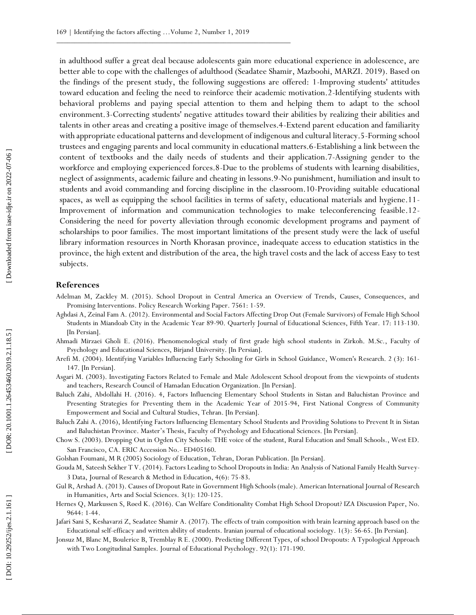in adulthood suffer a great deal because adolescents gain more educational experience in adolescence, are better able to cope with the challenges of adulthood (Seadatee Shamir, Mazboohi, MARZI. 2019). Based on the findings of the present study, the following suggestions are offered: 1 -Improving students' attitudes toward education and feeling the need to reinforce their academic motivation.2 -Identifying students with behavioral problems and paying special attention to them and helping them to adapt to the school environment.3 -Correcting students' negative attitudes toward their abilities by realizing their abilities and talents in other areas and creating a positive image of themselves.4 -Extend parent education and familiarity with appropriate educational patterns and development of indigenous and cultural literacy.5 -Forming school trustees and engaging parents and local community in educational matters.6 -Establishing a link between the content of textbooks and the daily needs of students and their application.7 -Assigning gender to the workforce and employing experienced forces.8 -Due to the problems of students with learning disabilities, neglect of assignments, academic failure and cheating in lessons.9 -No punishment, humiliation and insult to students and avoid commanding and forcing discipline in the classroom.10-Providing suitable educational spaces, as well as equipping the school facilities in terms of safety, educational materials and hygiene.11 - Improvement of information and communication technologies to make teleconferencing feasible.12 - Considering the need for poverty alleviation through economic development programs and payment of scholarships to poor families. The most important limitations of the present study were the lack of useful library information resources in North Khorasan province, inadequate access to education statistics in the province, the high extent and distribution of the area, the high travel costs and the lack of access Easy to test subjects.

#### **References**

- Adelman M, Zackley M. (2015). School Dropout in Central America an Overview of Trends, Causes, Consequences, and Promising Interventions. Policy Research Working Paper. 7561: 1 -59.
- Aghdasi A, Zeinal Fam A. (2012). Environmental and Social Factors Affecting Drop Out (Female Survivors) of Female High School Students in Miandoab City in the Academic Year 89 -90. Quarterly Journal of Educational Sciences, Fifth Year. 17: 113 -130. [In Persian].
- Ahmadi Mirzaei Gholi E. (2016). Phenomenological study of first grade high school students in Zirkoh. M.Sc., Faculty of Psychology and Educational Sciences, Birjand University. [In Persian].
- Arefi M. (2004). Identifying Variables Influencing Early Schooling for Girls in School Guidance, Women's Research. 2 (3): 161 147. [In Persian].
- Asgari M. (2003). Investigating Factors Related to Female and Male Adolescent School dropout from the viewpoints of students and teachers, Research Council of Hamadan Education Organization. [In Persian].
- Baluch Zahi, Abdollahi H. (2016). 4, Factors Influencing Elementary School Students in Sistan and Baluchistan Province and Presenting Strategies for Preventing them in the Academic Year of 2015 -94, First National Congress of Community Empowerment and Social and Cultural Studies, Tehran. [In Persian].
- Baluch Zahi A . (2016), Identifying Factors Influencing Elementary School Students and Providing Solutions to Prevent It in Sistan and Baluchistan Province. Master's Thesis, Faculty of Psychology and Educational Sciences. [In Persian].
- Chow S. (2003). Dropping Out in Ogden City Schools: THE voice of the student, Rural Education and Small Schools., West ED. San Francisco, CA. ERIC Accession No. - ED405160.
- Golshan Foumani, M R (2005) Sociology of Education, Tehran, Doran Publication. [In Persian].
- Gouda M, Sateesh Sekher T V. (2014). Factors Leading to School Dropouts in India: An Analysis of National Family Health Surve y 3 Data, Journal of Research & Method in Education, 4(6): 75 -83 .
- Gul R, Arshad A. (2013). Causes of Dropout Rate in Government High Schools (male). American International Journal of Research in Humanities, Arts and Social Sciences. 3(1): 120 -125.
- Hernes Q, Markussen S, Røed K. (2016). Can Welfare Conditionality Combat High School Dropout? IZA Discussion Paper, No. 9644: 1 -44.
- Jafari Sani S, Keshavarzi Z, Seadatee Shamir A. (2017). The effects of train composition with brain learning approach based on the Educational self-efficacy and written ability of students. Iranian journal of educational sociology. 1(3): 56 -65. [In Persian].
- Jonsuz M, Blanc M, Boulerice B, Tremblay R E. (2000). Predicting Different Types, of school Dropouts: A Typological Approach with Two Longitudinal Samples. Journal of Educational Psychology. 92(1): 171 -190.